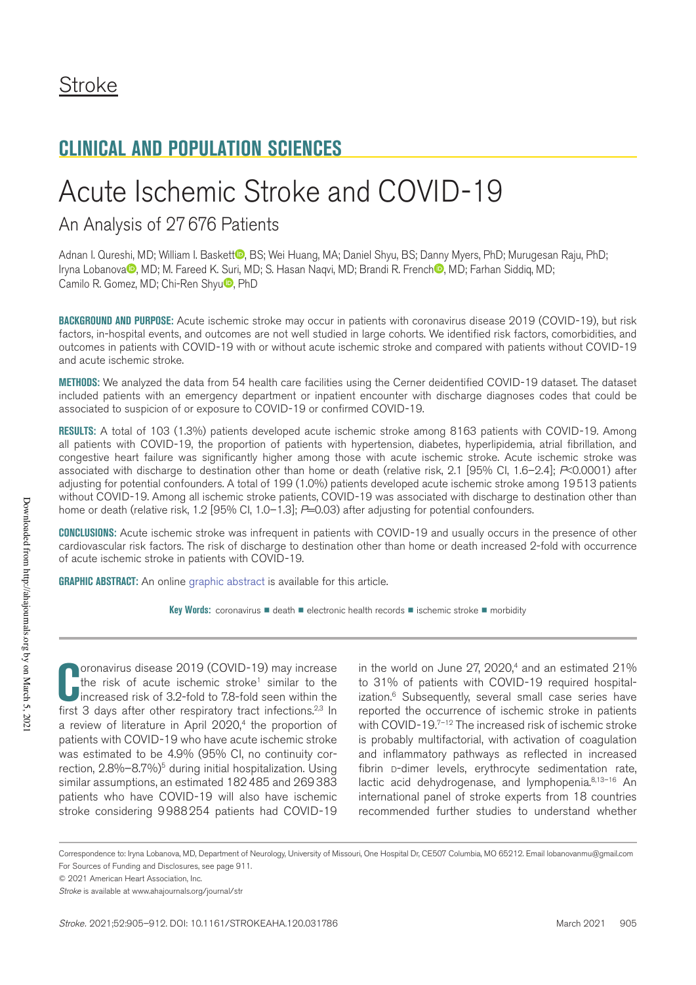# Acute Ischemic Stroke and COVID-19

## An Analysis of 27676 Patients

Adnan I. Qureshi, MD; William I. Baskett **,** BS; Wei Huang, MA; Daniel Shyu, BS; Danny Myers, PhD; Murugesan Raju, PhD; Iryna Lobanova<sup>O</sup>, MD; M. Fareed K. Suri, MD; S. Hasan Naqvi, MD; Brandi R. French , MD; Farhan Siddiq, MD; Camilo R. Gomez, MD; Chi-Ren Shyu<sup>D</sup>, PhD

**BACKGROUND AND PURPOSE:** Acute ischemic stroke may occur in patients with coronavirus disease 2019 (COVID-19), but risk factors, in-hospital events, and outcomes are not well studied in large cohorts. We identified risk factors, comorbidities, and outcomes in patients with COVID-19 with or without acute ischemic stroke and compared with patients without COVID-19 and acute ischemic stroke.

**METHODS:** We analyzed the data from 54 health care facilities using the Cerner deidentified COVID-19 dataset. The dataset included patients with an emergency department or inpatient encounter with discharge diagnoses codes that could be associated to suspicion of or exposure to COVID-19 or confirmed COVID-19.

**RESULTS:** A total of 103 (1.3%) patients developed acute ischemic stroke among 8163 patients with COVID-19. Among all patients with COVID-19, the proportion of patients with hypertension, diabetes, hyperlipidemia, atrial fibrillation, and congestive heart failure was significantly higher among those with acute ischemic stroke. Acute ischemic stroke was associated with discharge to destination other than home or death (relative risk, 2.1 [95% CI, 1.6–2.4]; *P*<0.0001) after adjusting for potential confounders. A total of 199 (1.0%) patients developed acute ischemic stroke among 19513 patients without COVID-19. Among all ischemic stroke patients, COVID-19 was associated with discharge to destination other than home or death (relative risk, 1.2 [95% CI, 1.0–1.3]; *P*=0.03) after adjusting for potential confounders.

**CONCLUSIONS:** Acute ischemic stroke was infrequent in patients with COVID-19 and usually occurs in the presence of other cardiovascular risk factors. The risk of discharge to destination other than home or death increased 2-fold with occurrence of acute ischemic stroke in patients with COVID-19.

**GRAPHIC ABSTRACT:** An online graphic abstract is available for this article.

**Key Words:** coronavirus ■ death ■ electronic health records ■ ischemic stroke ■ morbidity

**C COVID-19**) may increase<br>
the risk of acute ischemic stroke<sup>1</sup> similar to the<br>
increased risk of 3.2-fold to 7.8-fold seen within the<br>
first 3 days after other respiratory tract infections.<sup>2,3</sup> In oronavirus disease 2019 (COVID-19) may increase the risk of acute ischemic stroke<sup>1</sup> similar to the increased risk of 3.2-fold to 7.8-fold seen within the a review of literature in April 2020,<sup>4</sup> the proportion of patients with COVID-19 who have acute ischemic stroke was estimated to be 4.9% (95% CI, no continuity correction,  $2.8\% - 8.7\%$ <sup>5</sup> during initial hospitalization. Using similar assumptions, an estimated 182485 and 269383 patients who have COVID-19 will also have ischemic stroke considering 9988254 patients had COVID-19

in the world on June  $27, 2020$ ,<sup>4</sup> and an estimated  $21\%$ to 31% of patients with COVID-19 required hospitalization.<sup>6</sup> Subsequently, several small case series have reported the occurrence of ischemic stroke in patients with COVID-19.<sup>7-12</sup> The increased risk of ischemic stroke is probably multifactorial, with activation of coagulation and inflammatory pathways as reflected in increased fibrin D-dimer levels, erythrocyte sedimentation rate, lactic acid dehydrogenase, and lymphopenia.<sup>8,13-16</sup> An international panel of stroke experts from 18 countries recommended further studies to understand whether

Correspondence to: Iryna Lobanova, MD, Department of Neurology, University of Missouri, One Hospital Dr, CE507 Columbia, MO 65212. Email lobanovanmu@gmail.com For Sources of Funding and Disclosures, see page 911.

<sup>© 2021</sup> American Heart Association, Inc.

*Stroke* is available at www.ahajournals.org/journal/str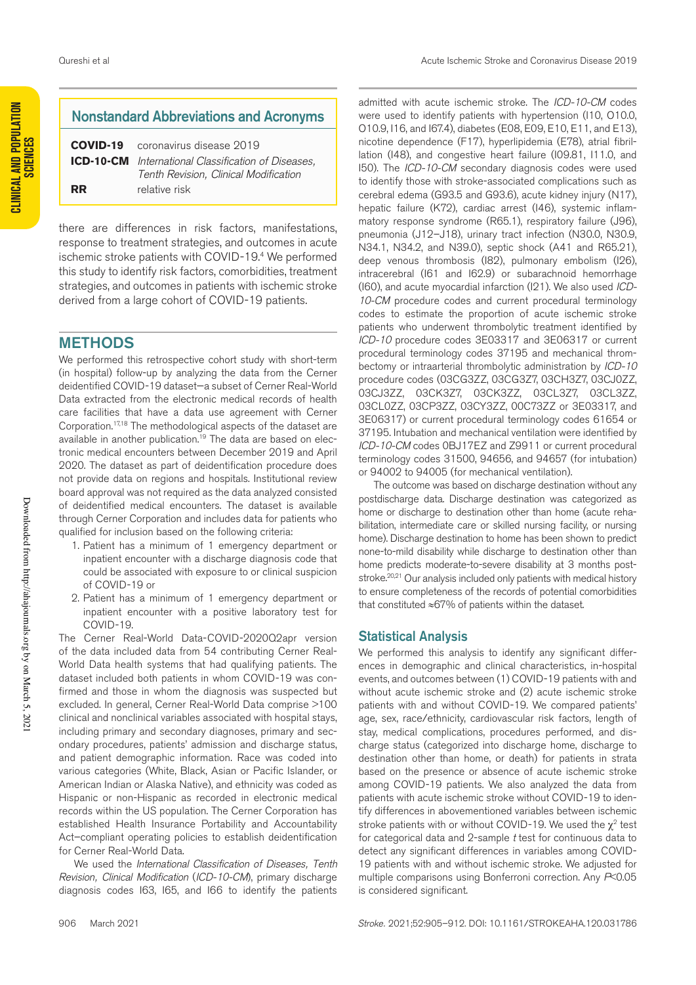**CLINICAL AND POPULATION** 

## Nonstandard Abbreviations and Acronyms

**COVID-19** coronavirus disease 2019 **ICD-10-CM** *International Classification of Diseases, Tenth Revision, Clinical Modification* **RR** relative risk

there are differences in risk factors, manifestations, response to treatment strategies, and outcomes in acute ischemic stroke patients with COVID-19.4 We performed this study to identify risk factors, comorbidities, treatment strategies, and outcomes in patients with ischemic stroke derived from a large cohort of COVID-19 patients.

### METHODS

We performed this retrospective cohort study with short-term (in hospital) follow-up by analyzing the data from the Cerner deidentified COVID-19 dataset—a subset of Cerner Real-World Data extracted from the electronic medical records of health care facilities that have a data use agreement with Cerner Corporation.17,18 The methodological aspects of the dataset are available in another publication.<sup>19</sup> The data are based on electronic medical encounters between December 2019 and April 2020. The dataset as part of deidentification procedure does not provide data on regions and hospitals. Institutional review board approval was not required as the data analyzed consisted of deidentified medical encounters. The dataset is available through Cerner Corporation and includes data for patients who qualified for inclusion based on the following criteria:

- 1. Patient has a minimum of 1 emergency department or inpatient encounter with a discharge diagnosis code that could be associated with exposure to or clinical suspicion of COVID-19 or
- 2. Patient has a minimum of 1 emergency department or inpatient encounter with a positive laboratory test for COVID-19.

The Cerner Real-World Data-COVID-2020Q2apr version of the data included data from 54 contributing Cerner Real-World Data health systems that had qualifying patients. The dataset included both patients in whom COVID-19 was confirmed and those in whom the diagnosis was suspected but excluded. In general, Cerner Real-World Data comprise >100 clinical and nonclinical variables associated with hospital stays, including primary and secondary diagnoses, primary and secondary procedures, patients' admission and discharge status, and patient demographic information. Race was coded into various categories (White, Black, Asian or Pacific Islander, or American Indian or Alaska Native), and ethnicity was coded as Hispanic or non-Hispanic as recorded in electronic medical records within the US population. The Cerner Corporation has established Health Insurance Portability and Accountability Act–compliant operating policies to establish deidentification for Cerner Real-World Data.

We used the *International Classification of Diseases, Tenth Revision, Clinical Modification* (*ICD-10-CM*), primary discharge diagnosis codes I63, I65, and I66 to identify the patients

admitted with acute ischemic stroke. The *ICD-10-CM* codes were used to identify patients with hypertension (I10, O10.0, O10.9, I16, and I67.4), diabetes (E08, E09, E10, E11, and E13), nicotine dependence (F17), hyperlipidemia (E78), atrial fibrillation (I48), and congestive heart failure (I09.81, I11.0, and I50). The *ICD-10-CM* secondary diagnosis codes were used to identify those with stroke-associated complications such as cerebral edema (G93.5 and G93.6), acute kidney injury (N17), hepatic failure (K72), cardiac arrest (I46), systemic inflammatory response syndrome (R65.1), respiratory failure (J96), pneumonia (J12–J18), urinary tract infection (N30.0, N30.9, N34.1, N34.2, and N39.0), septic shock (A41 and R65.21), deep venous thrombosis (I82), pulmonary embolism (I26), intracerebral (I61 and I62.9) or subarachnoid hemorrhage (I60), and acute myocardial infarction (I21). We also used *ICD-10-CM* procedure codes and current procedural terminology codes to estimate the proportion of acute ischemic stroke patients who underwent thrombolytic treatment identified by *ICD-10* procedure codes 3E03317 and 3E06317 or current procedural terminology codes 37195 and mechanical thrombectomy or intraarterial thrombolytic administration by *ICD-10* procedure codes (03CG3ZZ, 03CG3Z7, 03CH3Z7, 03CJ0ZZ, 03CJ3ZZ, 03CK3Z7, 03CK3ZZ, 03CL3Z7, 03CL3ZZ, 03CL0ZZ, 03CP3ZZ, 03CY3ZZ, 00C73ZZ or 3E03317, and 3E06317) or current procedural terminology codes 61654 or 37195. Intubation and mechanical ventilation were identified by *ICD-10-CM* codes 0BJ17EZ and Z9911 or current procedural terminology codes 31500, 94656, and 94657 (for intubation)

The outcome was based on discharge destination without any postdischarge data. Discharge destination was categorized as home or discharge to destination other than home (acute rehabilitation, intermediate care or skilled nursing facility, or nursing home). Discharge destination to home has been shown to predict none-to-mild disability while discharge to destination other than home predicts moderate-to-severe disability at 3 months poststroke.<sup>20,21</sup> Our analysis included only patients with medical history to ensure completeness of the records of potential comorbidities that constituted ≈67% of patients within the dataset.

or 94002 to 94005 (for mechanical ventilation).

#### Statistical Analysis

We performed this analysis to identify any significant differences in demographic and clinical characteristics, in-hospital events, and outcomes between (1) COVID-19 patients with and without acute ischemic stroke and (2) acute ischemic stroke patients with and without COVID-19. We compared patients' age, sex, race/ethnicity, cardiovascular risk factors, length of stay, medical complications, procedures performed, and discharge status (categorized into discharge home, discharge to destination other than home, or death) for patients in strata based on the presence or absence of acute ischemic stroke among COVID-19 patients. We also analyzed the data from patients with acute ischemic stroke without COVID-19 to identify differences in abovementioned variables between ischemic stroke patients with or without COVID-19. We used the  $\chi^2$  test for categorical data and 2-sample *t* test for continuous data to detect any significant differences in variables among COVID-19 patients with and without ischemic stroke. We adjusted for multiple comparisons using Bonferroni correction. Any *P*<0.05 is considered significant.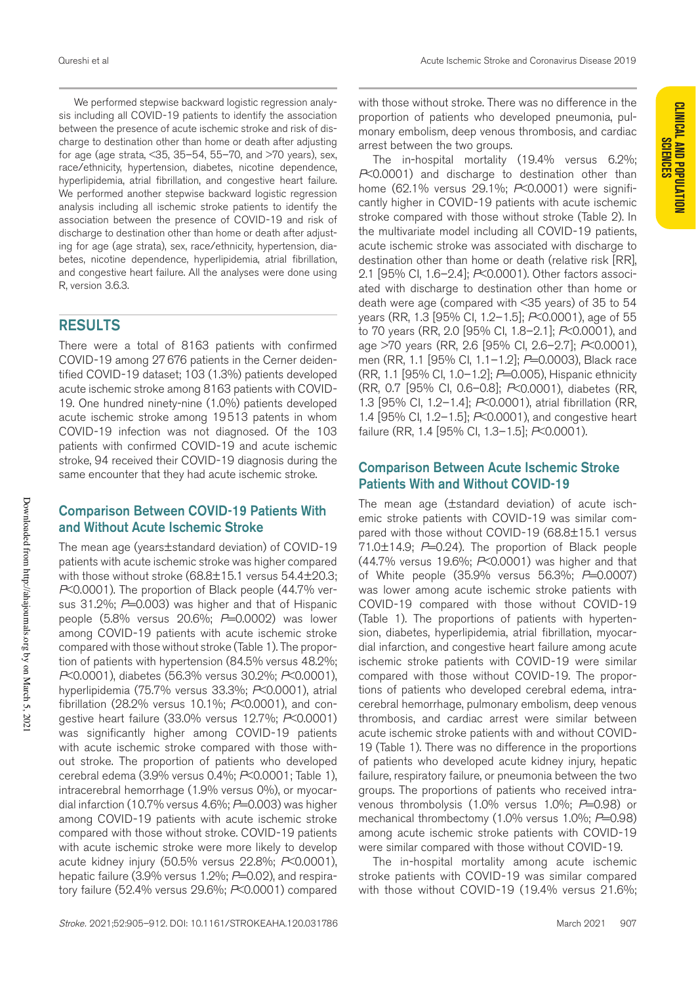**CLINICAL AND POPULATION** 

We performed stepwise backward logistic regression analysis including all COVID-19 patients to identify the association between the presence of acute ischemic stroke and risk of discharge to destination other than home or death after adjusting for age (age strata,  $<35$ ,  $35-54$ ,  $55-70$ , and  $>70$  years), sex, race/ethnicity, hypertension, diabetes, nicotine dependence, hyperlipidemia, atrial fibrillation, and congestive heart failure. We performed another stepwise backward logistic regression analysis including all ischemic stroke patients to identify the association between the presence of COVID-19 and risk of discharge to destination other than home or death after adjusting for age (age strata), sex, race/ethnicity, hypertension, diabetes, nicotine dependence, hyperlipidemia, atrial fibrillation, and congestive heart failure. All the analyses were done using R, version 3.6.3.

## RESULTS

There were a total of 8163 patients with confirmed COVID-19 among 27676 patients in the Cerner deidentified COVID-19 dataset; 103 (1.3%) patients developed acute ischemic stroke among 8163 patients with COVID-19. One hundred ninety-nine (1.0%) patients developed acute ischemic stroke among 19513 patents in whom COVID-19 infection was not diagnosed. Of the 103 patients with confirmed COVID-19 and acute ischemic stroke, 94 received their COVID-19 diagnosis during the same encounter that they had acute ischemic stroke.

## Comparison Between COVID-19 Patients With and Without Acute Ischemic Stroke

The mean age (years±standard deviation) of COVID-19 patients with acute ischemic stroke was higher compared with those without stroke (68.8±15.1 versus 54.4±20.3; *P*<0.0001). The proportion of Black people (44.7% versus 31.2%; *P*=0.003) was higher and that of Hispanic people (5.8% versus 20.6%; *P*=0.0002) was lower among COVID-19 patients with acute ischemic stroke compared with those without stroke (Table 1). The proportion of patients with hypertension (84.5% versus 48.2%; *P*<0.0001), diabetes (56.3% versus 30.2%; *P*<0.0001), hyperlipidemia (75.7% versus 33.3%; *P*<0.0001), atrial fibrillation (28.2% versus 10.1%; *P*<0.0001), and congestive heart failure (33.0% versus 12.7%; *P*<0.0001) was significantly higher among COVID-19 patients with acute ischemic stroke compared with those without stroke. The proportion of patients who developed cerebral edema (3.9% versus 0.4%; *P*<0.0001; Table 1), intracerebral hemorrhage (1.9% versus 0%), or myocardial infarction (10.7% versus 4.6%; P=0.003) was higher among COVID-19 patients with acute ischemic stroke compared with those without stroke. COVID-19 patients with acute ischemic stroke were more likely to develop acute kidney injury (50.5% versus 22.8%; *P*<0.0001), hepatic failure (3.9% versus 1.2%; *P*=0.02), and respiratory failure (52.4% versus 29.6%; *P*<0.0001) compared with those without stroke. There was no difference in the proportion of patients who developed pneumonia, pulmonary embolism, deep venous thrombosis, and cardiac arrest between the two groups.

The in-hospital mortality (19.4% versus 6.2%; *P*<0.0001) and discharge to destination other than home (62.1% versus 29.1%; *P*<0.0001) were significantly higher in COVID-19 patients with acute ischemic stroke compared with those without stroke (Table 2). In the multivariate model including all COVID-19 patients, acute ischemic stroke was associated with discharge to destination other than home or death (relative risk [RR], 2.1 [95% CI, 1.6–2.4]; *P*<0.0001). Other factors associated with discharge to destination other than home or death were age (compared with <35 years) of 35 to 54 years (RR, 1.3 [95% CI, 1.2–1.5]; *P*<0.0001), age of 55 to 70 years (RR, 2.0 [95% CI, 1.8–2.1]; *P*<0.0001), and age >70 years (RR, 2.6 [95% CI, 2.6–2.7]; *P*<0.0001), men (RR, 1.1 [95% CI, 1.1–1.2]; *P*=0.0003), Black race (RR, 1.1 [95% CI, 1.0–1.2]; *P*=0.005), Hispanic ethnicity (RR, 0.7 [95% CI, 0.6–0.8]; *P*<0.0001), diabetes (RR, 1.3 [95% CI, 1.2–1.4]; *P*<0.0001), atrial fibrillation (RR, 1.4 [95% CI, 1.2–1.5]; *P*<0.0001), and congestive heart failure (RR, 1.4 [95% CI, 1.3–1.5]; *P*<0.0001).

## Comparison Between Acute Ischemic Stroke Patients With and Without COVID-19

The mean age (±standard deviation) of acute ischemic stroke patients with COVID-19 was similar compared with those without COVID-19 (68.8±15.1 versus  $71.0\pm14.9$ ;  $P=0.24$ ). The proportion of Black people (44.7% versus 19.6%; *P*<0.0001) was higher and that of White people (35.9% versus 56.3%; *P*=0.0007) was lower among acute ischemic stroke patients with COVID-19 compared with those without COVID-19 (Table 1). The proportions of patients with hypertension, diabetes, hyperlipidemia, atrial fibrillation, myocardial infarction, and congestive heart failure among acute ischemic stroke patients with COVID-19 were similar compared with those without COVID-19. The proportions of patients who developed cerebral edema, intracerebral hemorrhage, pulmonary embolism, deep venous thrombosis, and cardiac arrest were similar between acute ischemic stroke patients with and without COVID-19 (Table 1). There was no difference in the proportions of patients who developed acute kidney injury, hepatic failure, respiratory failure, or pneumonia between the two groups. The proportions of patients who received intravenous thrombolysis (1.0% versus 1.0%; *P*=0.98) or mechanical thrombectomy (1.0% versus 1.0%; P=0.98) among acute ischemic stroke patients with COVID-19 were similar compared with those without COVID-19.

The in-hospital mortality among acute ischemic stroke patients with COVID-19 was similar compared with those without COVID-19 (19.4% versus 21.6%;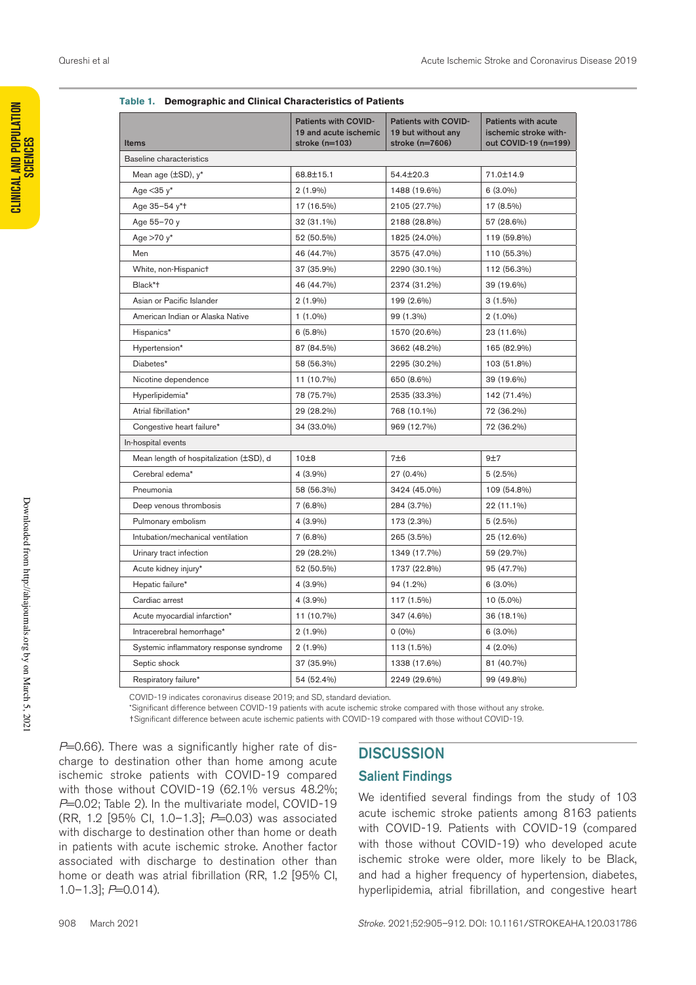| <b>Items</b>                            | Patients with COVID-<br>19 and acute ischemic<br>stroke $(n=103)$ | <b>Patients with COVID-</b><br>19 but without any<br>stroke (n=7606) | <b>Patients with acute</b><br>ischemic stroke with-<br>out COVID-19 (n=199) |
|-----------------------------------------|-------------------------------------------------------------------|----------------------------------------------------------------------|-----------------------------------------------------------------------------|
| Baseline characteristics                |                                                                   |                                                                      |                                                                             |
| Mean age $(\pm SD)$ , $y^*$             | 68.8±15.1                                                         | 54.4±20.3                                                            | 71.0±14.9                                                                   |
| Age $<$ 35 $y^*$                        | $2(1.9\%)$                                                        | 1488 (19.6%)                                                         | $6(3.0\%)$                                                                  |
| Age 35-54 y*+                           | 17 (16.5%)                                                        | 2105 (27.7%)                                                         | 17 (8.5%)                                                                   |
| Age 55-70 y                             | 32 (31.1%)                                                        | 2188 (28.8%)                                                         | 57 (28.6%)                                                                  |
| Age $>70$ y*                            | 52 (50.5%)                                                        | 1825 (24.0%)                                                         | 119 (59.8%)                                                                 |
| Men                                     | 46 (44.7%)                                                        | 3575 (47.0%)                                                         | 110 (55.3%)                                                                 |
| White, non-Hispanict                    | 37 (35.9%)                                                        | 2290 (30.1%)                                                         | 112 (56.3%)                                                                 |
| Black*t                                 | 46 (44.7%)                                                        | 2374 (31.2%)                                                         | 39 (19.6%)                                                                  |
| Asian or Pacific Islander               | $2(1.9\%)$                                                        | 199 (2.6%)                                                           | $3(1.5\%)$                                                                  |
| American Indian or Alaska Native        | $1(1.0\%)$                                                        | 99 (1.3%)                                                            | $2(1.0\%)$                                                                  |
| Hispanics*                              | $6(5.8\%)$                                                        | 1570 (20.6%)                                                         | 23 (11.6%)                                                                  |
| Hypertension*                           | 87 (84.5%)                                                        | 3662 (48.2%)                                                         | 165 (82.9%)                                                                 |
| Diabetes*                               | 58 (56.3%)                                                        | 2295 (30.2%)                                                         | 103 (51.8%)                                                                 |
| Nicotine dependence                     | 11 (10.7%)                                                        | 650 (8.6%)                                                           | 39 (19.6%)                                                                  |
| Hyperlipidemia*                         | 78 (75.7%)                                                        | 2535 (33.3%)                                                         | 142 (71.4%)                                                                 |
| Atrial fibrillation*                    | 29 (28.2%)                                                        | 768 (10.1%)                                                          | 72 (36.2%)                                                                  |
| Congestive heart failure*               | 34 (33.0%)                                                        | 969 (12.7%)                                                          | 72 (36.2%)                                                                  |
| In-hospital events                      |                                                                   |                                                                      |                                                                             |
| Mean length of hospitalization (±SD), d | 10±8                                                              | 7±6                                                                  | 9±7                                                                         |
| Cerebral edema*                         | $4(3.9\%)$                                                        | 27 (0.4%)                                                            | $5(2.5\%)$                                                                  |
| Pneumonia                               | 58 (56.3%)                                                        | 3424 (45.0%)                                                         | 109 (54.8%)                                                                 |
| Deep venous thrombosis                  | $7(6.8\%)$                                                        | 284 (3.7%)                                                           | 22 (11.1%)                                                                  |
| Pulmonary embolism                      | $4(3.9\%)$                                                        | 173 (2.3%)                                                           | $5(2.5\%)$                                                                  |
| Intubation/mechanical ventilation       | $7(6.8\%)$                                                        | 265 (3.5%)                                                           | 25 (12.6%)                                                                  |
| Urinary tract infection                 | 29 (28.2%)                                                        | 1349 (17.7%)                                                         | 59 (29.7%)                                                                  |
| Acute kidney injury*                    | 52 (50.5%)                                                        | 1737 (22.8%)                                                         | 95 (47.7%)                                                                  |
| Hepatic failure*                        | $4(3.9\%)$                                                        | 94 (1.2%)                                                            | $6(3.0\%)$                                                                  |
| Cardiac arrest                          | $4(3.9\%)$                                                        | 117 (1.5%)                                                           | $10(5.0\%)$                                                                 |
| Acute myocardial infarction*            | 11 (10.7%)                                                        | 347 (4.6%)                                                           | 36 (18.1%)                                                                  |
| Intracerebral hemorrhage*               | $2(1.9\%)$                                                        | $0(0\%)$                                                             | $6(3.0\%)$                                                                  |
| Systemic inflammatory response syndrome | $2(1.9\%)$                                                        | 113 (1.5%)                                                           | 4 (2.0%)                                                                    |
| Septic shock                            | 37 (35.9%)                                                        | 1338 (17.6%)                                                         | 81 (40.7%)                                                                  |
| Respiratory failure*                    | 54 (52.4%)                                                        | 2249 (29.6%)                                                         | 99 (49.8%)                                                                  |

|  |  |  |  | Table 1. Demographic and Clinical Characteristics of Patients |  |
|--|--|--|--|---------------------------------------------------------------|--|
|--|--|--|--|---------------------------------------------------------------|--|

COVID-19 indicates coronavirus disease 2019; and SD, standard deviation.

\*Significant difference between COVID-19 patients with acute ischemic stroke compared with those without any stroke. †Significant difference between acute ischemic patients with COVID-19 compared with those without COVID-19.

*P*=0.66). There was a significantly higher rate of discharge to destination other than home among acute ischemic stroke patients with COVID-19 compared with those without COVID-19 (62.1% versus 48.2%; *P*=0.02; Table 2). In the multivariate model, COVID-19 (RR, 1.2 [95% CI, 1.0–1.3]; *P*=0.03) was associated with discharge to destination other than home or death in patients with acute ischemic stroke. Another factor associated with discharge to destination other than home or death was atrial fibrillation (RR, 1.2 [95% CI, 1.0–1.3]; *P*=0.014).

### **DISCUSSION**

#### Salient Findings

We identified several findings from the study of 103 acute ischemic stroke patients among 8163 patients with COVID-19. Patients with COVID-19 (compared with those without COVID-19) who developed acute ischemic stroke were older, more likely to be Black, and had a higher frequency of hypertension, diabetes, hyperlipidemia, atrial fibrillation, and congestive heart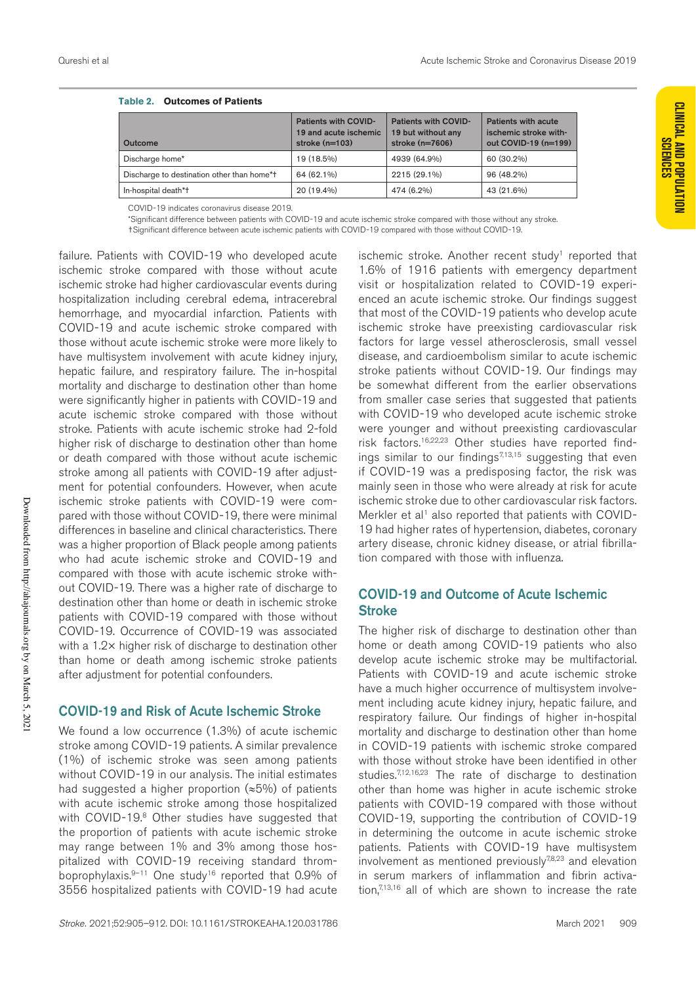| Outcome                                    | Patients with COVID-<br>19 and acute ischemic<br>stroke $(n=103)$ | <b>Patients with COVID-</b><br>19 but without any<br>stroke $(n=7606)$ | Patients with acute<br>ischemic stroke with-<br>out COVID-19 (n=199) |
|--------------------------------------------|-------------------------------------------------------------------|------------------------------------------------------------------------|----------------------------------------------------------------------|
| Discharge home*                            | 19 (18.5%)                                                        | 4939 (64.9%)                                                           | 60 (30.2%)                                                           |
| Discharge to destination other than home*+ | 64 (62.1%)                                                        | 2215 (29.1%)                                                           | 96 (48.2%)                                                           |
| In-hospital death*†                        | 20 (19.4%)                                                        | 474 (6.2%)                                                             | 43 (21.6%)                                                           |

| Table 2. | <b>Outcomes of Patients</b> |
|----------|-----------------------------|
|----------|-----------------------------|

COVID-19 indicates coronavirus disease 2019.

\*Significant difference between patients with COVID-19 and acute ischemic stroke compared with those without any stroke. †Significant difference between acute ischemic patients with COVID-19 compared with those without COVID-19.

failure. Patients with COVID-19 who developed acute ischemic stroke compared with those without acute ischemic stroke had higher cardiovascular events during hospitalization including cerebral edema, intracerebral hemorrhage, and myocardial infarction. Patients with COVID-19 and acute ischemic stroke compared with those without acute ischemic stroke were more likely to have multisystem involvement with acute kidney injury, hepatic failure, and respiratory failure. The in-hospital mortality and discharge to destination other than home were significantly higher in patients with COVID-19 and acute ischemic stroke compared with those without stroke. Patients with acute ischemic stroke had 2-fold higher risk of discharge to destination other than home or death compared with those without acute ischemic stroke among all patients with COVID-19 after adjustment for potential confounders. However, when acute ischemic stroke patients with COVID-19 were compared with those without COVID-19, there were minimal differences in baseline and clinical characteristics. There was a higher proportion of Black people among patients who had acute ischemic stroke and COVID-19 and compared with those with acute ischemic stroke without COVID-19. There was a higher rate of discharge to destination other than home or death in ischemic stroke patients with COVID-19 compared with those without COVID-19. Occurrence of COVID-19 was associated with a 1.2× higher risk of discharge to destination other than home or death among ischemic stroke patients after adjustment for potential confounders.

### COVID-19 and Risk of Acute Ischemic Stroke

We found a low occurrence (1.3%) of acute ischemic stroke among COVID-19 patients. A similar prevalence (1%) of ischemic stroke was seen among patients without COVID-19 in our analysis. The initial estimates had suggested a higher proportion  $(*5\%)$  of patients with acute ischemic stroke among those hospitalized with COVID-19.<sup>8</sup> Other studies have suggested that the proportion of patients with acute ischemic stroke may range between 1% and 3% among those hospitalized with COVID-19 receiving standard thromboprophylaxis.<sup>9-11</sup> One study<sup>16</sup> reported that 0.9% of 3556 hospitalized patients with COVID-19 had acute

ischemic stroke. Another recent study<sup>1</sup> reported that 1.6% of 1916 patients with emergency department visit or hospitalization related to COVID-19 experienced an acute ischemic stroke. Our findings suggest that most of the COVID-19 patients who develop acute ischemic stroke have preexisting cardiovascular risk factors for large vessel atherosclerosis, small vessel disease, and cardioembolism similar to acute ischemic stroke patients without COVID-19. Our findings may be somewhat different from the earlier observations from smaller case series that suggested that patients with COVID-19 who developed acute ischemic stroke were younger and without preexisting cardiovascular risk factors.16,22,23 Other studies have reported findings similar to our findings $7,13,15$  suggesting that even if COVID-19 was a predisposing factor, the risk was mainly seen in those who were already at risk for acute ischemic stroke due to other cardiovascular risk factors. Merkler et al<sup>1</sup> also reported that patients with COVID-19 had higher rates of hypertension, diabetes, coronary artery disease, chronic kidney disease, or atrial fibrillation compared with those with influenza.

## COVID-19 and Outcome of Acute Ischemic **Stroke**

The higher risk of discharge to destination other than home or death among COVID-19 patients who also develop acute ischemic stroke may be multifactorial. Patients with COVID-19 and acute ischemic stroke have a much higher occurrence of multisystem involvement including acute kidney injury, hepatic failure, and respiratory failure. Our findings of higher in-hospital mortality and discharge to destination other than home in COVID-19 patients with ischemic stroke compared with those without stroke have been identified in other studies.<sup>7,12,16,23</sup> The rate of discharge to destination other than home was higher in acute ischemic stroke patients with COVID-19 compared with those without COVID-19, supporting the contribution of COVID-19 in determining the outcome in acute ischemic stroke patients. Patients with COVID-19 have multisystem involvement as mentioned previously<sup>7,8,23</sup> and elevation in serum markers of inflammation and fibrin activation, $7,13,16$  all of which are shown to increase the rate

Downloaded from http://ahajournals.org by on March 5, 2021

Downloaded from http://ahajournals.org by on March 5, 2021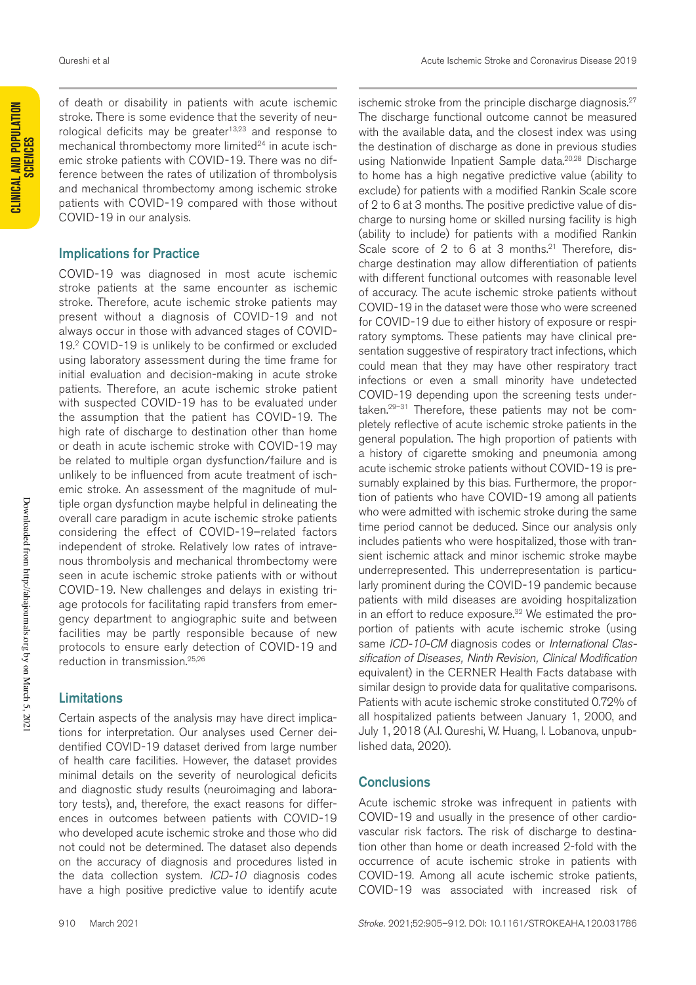of death or disability in patients with acute ischemic stroke. There is some evidence that the severity of neurological deficits may be greater $13,23$  and response to mechanical thrombectomy more limited<sup>24</sup> in acute ischemic stroke patients with COVID-19. There was no difference between the rates of utilization of thrombolysis and mechanical thrombectomy among ischemic stroke patients with COVID-19 compared with those without COVID-19 in our analysis.

#### Implications for Practice

COVID-19 was diagnosed in most acute ischemic stroke patients at the same encounter as ischemic stroke. Therefore, acute ischemic stroke patients may present without a diagnosis of COVID-19 and not always occur in those with advanced stages of COVID-19.2 COVID-19 is unlikely to be confirmed or excluded using laboratory assessment during the time frame for initial evaluation and decision-making in acute stroke patients. Therefore, an acute ischemic stroke patient with suspected COVID-19 has to be evaluated under the assumption that the patient has COVID-19. The high rate of discharge to destination other than home or death in acute ischemic stroke with COVID-19 may be related to multiple organ dysfunction/failure and is unlikely to be influenced from acute treatment of ischemic stroke. An assessment of the magnitude of multiple organ dysfunction maybe helpful in delineating the overall care paradigm in acute ischemic stroke patients considering the effect of COVID-19–related factors independent of stroke. Relatively low rates of intravenous thrombolysis and mechanical thrombectomy were seen in acute ischemic stroke patients with or without COVID-19. New challenges and delays in existing triage protocols for facilitating rapid transfers from emergency department to angiographic suite and between facilities may be partly responsible because of new protocols to ensure early detection of COVID-19 and reduction in transmission.25,26

### Limitations

Certain aspects of the analysis may have direct implications for interpretation. Our analyses used Cerner deidentified COVID-19 dataset derived from large number of health care facilities. However, the dataset provides minimal details on the severity of neurological deficits and diagnostic study results (neuroimaging and laboratory tests), and, therefore, the exact reasons for differences in outcomes between patients with COVID-19 who developed acute ischemic stroke and those who did not could not be determined. The dataset also depends on the accuracy of diagnosis and procedures listed in the data collection system. *ICD-10* diagnosis codes have a high positive predictive value to identify acute ischemic stroke from the principle discharge diagnosis.<sup>27</sup> The discharge functional outcome cannot be measured with the available data, and the closest index was using the destination of discharge as done in previous studies using Nationwide Inpatient Sample data.<sup>20,28</sup> Discharge to home has a high negative predictive value (ability to exclude) for patients with a modified Rankin Scale score of 2 to 6 at 3 months. The positive predictive value of discharge to nursing home or skilled nursing facility is high (ability to include) for patients with a modified Rankin Scale score of 2 to 6 at 3 months.<sup>21</sup> Therefore, discharge destination may allow differentiation of patients with different functional outcomes with reasonable level of accuracy. The acute ischemic stroke patients without COVID-19 in the dataset were those who were screened for COVID-19 due to either history of exposure or respiratory symptoms. These patients may have clinical presentation suggestive of respiratory tract infections, which could mean that they may have other respiratory tract infections or even a small minority have undetected COVID-19 depending upon the screening tests undertaken.29–31 Therefore, these patients may not be completely reflective of acute ischemic stroke patients in the general population. The high proportion of patients with a history of cigarette smoking and pneumonia among acute ischemic stroke patients without COVID-19 is presumably explained by this bias. Furthermore, the proportion of patients who have COVID-19 among all patients who were admitted with ischemic stroke during the same time period cannot be deduced. Since our analysis only includes patients who were hospitalized, those with transient ischemic attack and minor ischemic stroke maybe underrepresented. This underrepresentation is particularly prominent during the COVID-19 pandemic because patients with mild diseases are avoiding hospitalization in an effort to reduce exposure.<sup>32</sup> We estimated the proportion of patients with acute ischemic stroke (using same *ICD-10-CM* diagnosis codes or *International Classification of Diseases, Ninth Revision, Clinical Modification* equivalent) in the CERNER Health Facts database with similar design to provide data for qualitative comparisons. Patients with acute ischemic stroke constituted 0.72% of all hospitalized patients between January 1, 2000, and July 1, 2018 (A.I. Qureshi, W. Huang, I. Lobanova, unpublished data, 2020).

#### **Conclusions**

Acute ischemic stroke was infrequent in patients with COVID-19 and usually in the presence of other cardiovascular risk factors. The risk of discharge to destination other than home or death increased 2-fold with the occurrence of acute ischemic stroke in patients with COVID-19. Among all acute ischemic stroke patients, COVID-19 was associated with increased risk of

**CLINICAL AND POPULATION SCIENCES**

**CLINICAL AND POPULATION**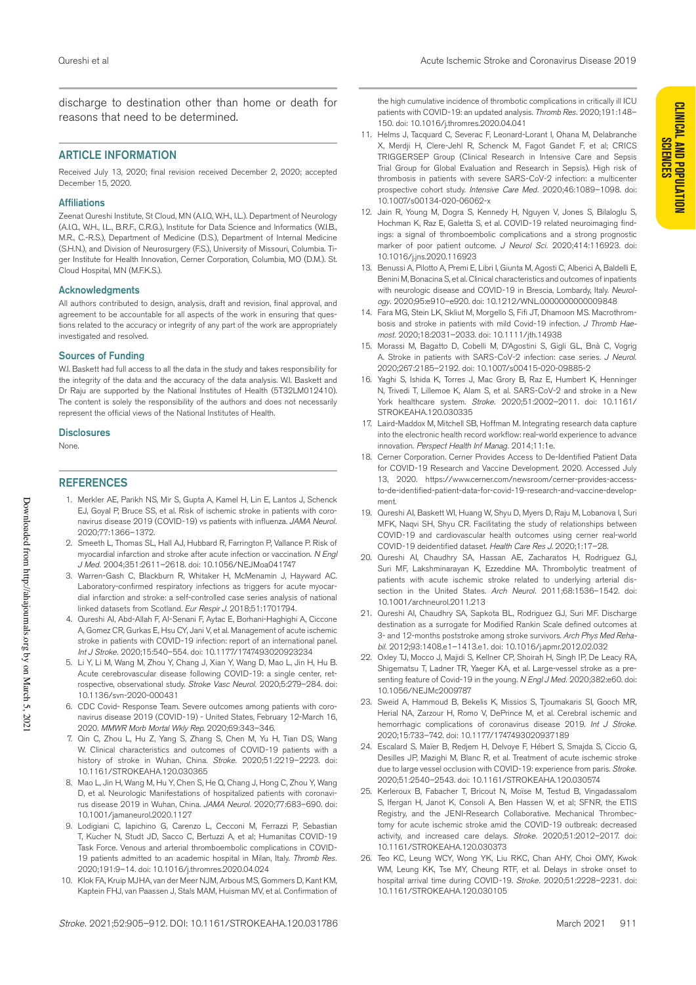**CLINICAL AND POPULATION** 

discharge to destination other than home or death for reasons that need to be determined.

#### ARTICLE INFORMATION

Received July 13, 2020; final revision received December 2, 2020; accepted December 15, 2020.

#### **Affiliations**

Zeenat Qureshi Institute, St Cloud, MN (A.I.Q, W.H., I.L.). Department of Neurology (A.I.Q., W.H., I.L., B.R.F., C.R.G.), Institute for Data Science and Informatics (W.I.B., M.R., C.-R.S.), Department of Medicine (D.S.), Department of Internal Medicine (S.H.N.), and Division of Neurosurgery (F.S.), University of Missouri, Columbia. Tiger Institute for Health Innovation, Cerner Corporation, Columbia, MO (D.M.). St. Cloud Hospital, MN (M.F.K.S.).

#### Acknowledgments

All authors contributed to design, analysis, draft and revision, final approval, and agreement to be accountable for all aspects of the work in ensuring that questions related to the accuracy or integrity of any part of the work are appropriately investigated and resolved.

#### Sources of Funding

W.I. Baskett had full access to all the data in the study and takes responsibility for the integrity of the data and the accuracy of the data analysis. W.I. Baskett and Dr Raju are supported by the National Institutes of Health (5T32LM012410). The content is solely the responsibility of the authors and does not necessarily represent the official views of the National Institutes of Health.

#### **Disclosures**

None.

#### **REFERENCES**

- 1. Merkler AE, Parikh NS, Mir S, Gupta A, Kamel H, Lin E, Lantos J, Schenck EJ, Goyal P, Bruce SS, et al. Risk of ischemic stroke in patients with coronavirus disease 2019 (COVID-19) vs patients with influenza. *JAMA Neurol.* 2020;77:1366–1372.
- 2. Smeeth L, Thomas SL, Hall AJ, Hubbard R, Farrington P, Vallance P. Risk of myocardial infarction and stroke after acute infection or vaccination. *N Engl J Med.* 2004;351:2611–2618. doi: 10.1056/NEJMoa041747
- 3. Warren-Gash C, Blackburn R, Whitaker H, McMenamin J, Hayward AC. Laboratory-confirmed respiratory infections as triggers for acute myocardial infarction and stroke: a self-controlled case series analysis of national linked datasets from Scotland. *Eur Respir J*. 2018;51:1701794.
- 4. Qureshi AI, Abd-Allah F, Al-Senani F, Aytac E, Borhani-Haghighi A, Ciccone A, Gomez CR, Gurkas E, Hsu CY, Jani V, et al. Management of acute ischemic stroke in patients with COVID-19 infection: report of an international panel. *Int J Stroke.* 2020;15:540–554. doi: 10.1177/1747493020923234
- 5. Li Y, Li M, Wang M, Zhou Y, Chang J, Xian Y, Wang D, Mao L, Jin H, Hu B. Acute cerebrovascular disease following COVID-19: a single center, retrospective, observational study. *Stroke Vasc Neurol.* 2020;5:279–284. doi: 10.1136/svn-2020-000431
- 6. CDC Covid- Response Team. Severe outcomes among patients with coronavirus disease 2019 (COVID-19) - United States, February 12-March 16, 2020. *MMWR Morb Mortal Wkly Rep*. 2020;69:343–346.
- 7. Qin C, Zhou L, Hu Z, Yang S, Zhang S, Chen M, Yu H, Tian DS, Wang W. Clinical characteristics and outcomes of COVID-19 patients with a history of stroke in Wuhan, China. *Stroke.* 2020;51:2219–2223. doi: 10.1161/STROKEAHA.120.030365
- Mao L, Jin H, Wang M, Hu Y, Chen S, He Q, Chang J, Hong C, Zhou Y, Wang D, et al. Neurologic Manifestations of hospitalized patients with coronavirus disease 2019 in Wuhan, China. *JAMA Neurol.* 2020;77:683–690. doi: 10.1001/jamaneurol.2020.1127
- 9. Lodigiani C, Iapichino G, Carenzo L, Cecconi M, Ferrazzi P, Sebastian T, Kucher N, Studt JD, Sacco C, Bertuzzi A, et al; Humanitas COVID-19 Task Force. Venous and arterial thromboembolic complications in COVID-19 patients admitted to an academic hospital in Milan, Italy. *Thromb Res.* 2020;191:9–14. doi: 10.1016/j.thromres.2020.04.024
- 10. Klok FA, Kruip MJHA, van der Meer NJM, Arbous MS, Gommers D, Kant KM, Kaptein FHJ, van Paassen J, Stals MAM, Huisman MV, et al. Confirmation of

the high cumulative incidence of thrombotic complications in critically ill ICU patients with COVID-19: an updated analysis. *Thromb Res.* 2020;191:148– 150. doi: 10.1016/j.thromres.2020.04.041

- 11. Helms J, Tacquard C, Severac F, Leonard-Lorant I, Ohana M, Delabranche X, Merdji H, Clere-Jehl R, Schenck M, Fagot Gandet F, et al; CRICS TRIGGERSEP Group (Clinical Research in Intensive Care and Sepsis Trial Group for Global Evaluation and Research in Sepsis). High risk of thrombosis in patients with severe SARS-CoV-2 infection: a multicenter prospective cohort study. *Intensive Care Med.* 2020;46:1089–1098. doi: 10.1007/s00134-020-06062-x
- 12. Jain R, Young M, Dogra S, Kennedy H, Nguyen V, Jones S, Bilaloglu S, Hochman K, Raz E, Galetta S, et al. COVID-19 related neuroimaging findings: a signal of thromboembolic complications and a strong prognostic marker of poor patient outcome. *J Neurol Sci.* 2020;414:116923. doi: 10.1016/j.jns.2020.116923
- 13. Benussi A, Pilotto A, Premi E, Libri I, Giunta M, Agosti C, Alberici A, Baldelli E, Benini M, Bonacina S, et al. Clinical characteristics and outcomes of inpatients with neurologic disease and COVID-19 in Brescia, Lombardy, Italy. *Neurology.* 2020;95:e910–e920. doi: 10.1212/WNL.0000000000009848
- 14. Fara MG, Stein LK, Skliut M, Morgello S, Fifi JT, Dhamoon MS. Macrothrombosis and stroke in patients with mild Covid-19 infection. *J Thromb Haemost.* 2020;18:2031–2033. doi: 10.1111/jth.14938
- 15. Morassi M, Bagatto D, Cobelli M, D'Agostini S, Gigli GL, Bnà C, Vogrig A. Stroke in patients with SARS-CoV-2 infection: case series. *J Neurol.* 2020;267:2185–2192. doi: 10.1007/s00415-020-09885-2
- 16. Yaghi S, Ishida K, Torres J, Mac Grory B, Raz E, Humbert K, Henninger N, Trivedi T, Lillemoe K, Alam S, et al. SARS-CoV-2 and stroke in a New York healthcare system. *Stroke.* 2020;51:2002–2011. doi: 10.1161/ STROKEAHA.120.030335
- 17. Laird-Maddox M, Mitchell SB, Hoffman M. Integrating research data capture into the electronic health record workflow: real-world experience to advance innovation. *Perspect Health Inf Manag.* 2014;11:1e.
- 18. Cerner Corporation. Cerner Provides Access to De-Identified Patient Data for COVID-19 Research and Vaccine Development. 2020. Accessed July 13, 2020. https://www.cerner.com/newsroom/cerner-provides-accessto-de-identified-patient-data-for-covid-19-research-and-vaccine-development.
- 19. Qureshi AI, Baskett WI, Huang W, Shyu D, Myers D, Raju M, Lobanova I, Suri MFK, Naqvi SH, Shyu CR. Facilitating the study of relationships between COVID-19 and cardiovascular health outcomes using cerner real-world COVID-19 deidentified dataset. *Health Care Res J*. 2020;1:17–28.
- 20. Qureshi AI, Chaudhry SA, Hassan AE, Zacharatos H, Rodriguez GJ, Suri MF, Lakshminarayan K, Ezzeddine MA. Thrombolytic treatment of patients with acute ischemic stroke related to underlying arterial dissection in the United States. *Arch Neurol.* 2011;68:1536–1542. doi: 10.1001/archneurol.2011.213
- 21. Qureshi AI, Chaudhry SA, Sapkota BL, Rodriguez GJ, Suri MF. Discharge destination as a surrogate for Modified Rankin Scale defined outcomes at 3- and 12-months poststroke among stroke survivors. *Arch Phys Med Rehabil.* 2012;93:1408.e1–1413.e1. doi: 10.1016/j.apmr.2012.02.032
- 22. Oxley TJ, Mocco J, Majidi S, Kellner CP, Shoirah H, Singh IP, De Leacy RA, Shigematsu T, Ladner TR, Yaeger KA, et al. Large-vessel stroke as a presenting feature of Covid-19 in the young. *N Engl J Med.* 2020;382:e60. doi: 10.1056/NEJMc2009787
- 23. Sweid A, Hammoud B, Bekelis K, Missios S, Tjoumakaris SI, Gooch MR, Herial NA, Zarzour H, Romo V, DePrince M, et al. Cerebral ischemic and hemorrhagic complications of coronavirus disease 2019. *Int J Stroke.* 2020;15:733–742. doi: 10.1177/1747493020937189
- 24. Escalard S, Maïer B, Redjem H, Delvoye F, Hébert S, Smajda S, Ciccio G, Desilles JP, Mazighi M, Blanc R, et al. Treatment of acute ischemic stroke due to large vessel occlusion with COVID-19: experience from paris. *Stroke.* 2020;51:2540–2543. doi: 10.1161/STROKEAHA.120.030574
- 25. Kerleroux B, Fabacher T, Bricout N, Moïse M, Testud B, Vingadassalom S, Ifergan H, Janot K, Consoli A, Ben Hassen W, et al; SFNR, the ETIS Registry, and the JENI-Research Collaborative. Mechanical Thrombectomy for acute ischemic stroke amid the COVID-19 outbreak: decreased activity, and increased care delays. *Stroke.* 2020;51:2012–2017. doi: 10.1161/STROKEAHA.120.030373
- 26. Teo KC, Leung WCY, Wong YK, Liu RKC, Chan AHY, Choi OMY, Kwok WM, Leung KK, Tse MY, Cheung RTF, et al. Delays in stroke onset to hospital arrival time during COVID-19. *Stroke.* 2020;51:2228–2231. doi: 10.1161/STROKEAHA.120.030105